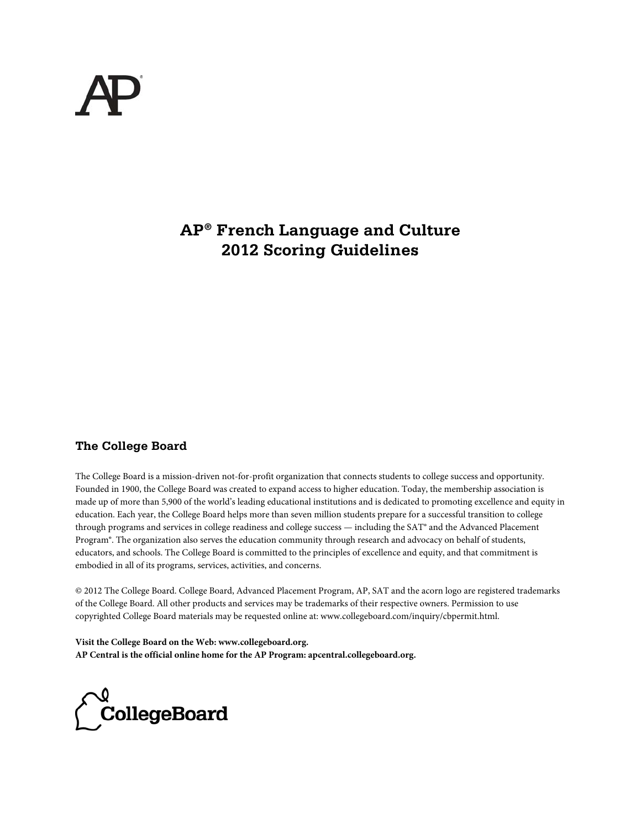# **AP® French Language and Culture 2012 Scoring Guidelines**

## **The College Board**

The College Board is a mission-driven not-for-profit organization that connects students to college success and opportunity. Founded in 1900, the College Board was created to expand access to higher education. Today, the membership association is made up of more than 5,900 of the world's leading educational institutions and is dedicated to promoting excellence and equity in education. Each year, the College Board helps more than seven million students prepare for a successful transition to college through programs and services in college readiness and college success — including the SAT® and the Advanced Placement Program®. The organization also serves the education community through research and advocacy on behalf of students, educators, and schools. The College Board is committed to the principles of excellence and equity, and that commitment is embodied in all of its programs, services, activities, and concerns.

© 2012 The College Board. College Board, Advanced Placement Program, AP, SAT and the acorn logo are registered trademarks of the College Board. All other products and services may be trademarks of their respective owners. Permission to use copyrighted College Board materials may be requested online at: www.collegeboard.com/inquiry/cbpermit.html.

**Visit the College Board on the Web: www.collegeboard.org. AP Central is the official online home for the AP Program: apcentral.collegeboard.org.**

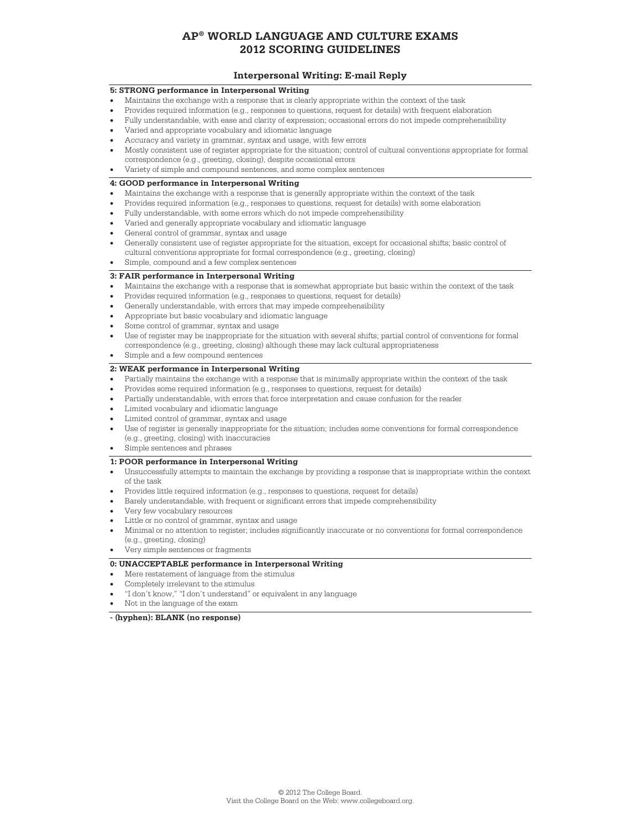# **Interpersonal Writing: E-mail Reply**<br>5: STRONG performance in Interpersonal Writing

- Maintains the exchange with a response that is clearly appropriate within the context of the task
- Provides required information (e.g., responses to questions, request for details) with frequent elaboration
- Fully understandable, with ease and clarity of expression; occasional errors do not impede comprehensibility
- Varied and appropriate vocabulary and idiomatic language
- Accuracy and variety in grammar, syntax and usage, with few errors
- Mostly consistent use of register appropriate for the situation; control of cultural conventions appropriate for formal
- correspondence (e.g., greeting, closing), despite occasional errors • Variety of simple and compound sentences, and some complex sentences

- Maintains the exchange with a response that is generally appropriate within the context of the task
- Provides required information (e.g., responses to questions, request for details) with some elaboration
- Fully understandable, with some errors which do not impede comprehensibility
- Varied and generally appropriate vocabulary and idiomatic language
- General control of grammar, syntax and usage
- Generally consistent use of register appropriate for the situation, except for occasional shifts; basic control of cultural conventions appropriate for formal correspondence (e.g., greeting, closing)
- Simple, compound and a few complex sentences

- Maintains the exchange with a response that is somewhat appropriate but basic within the context of the task
- Provides required information (e.g., responses to questions, request for details)
- Generally understandable, with errors that may impede comprehensibility
- Appropriate but basic vocabulary and idiomatic language
- Some control of grammar, syntax and usage
- Use of register may be inappropriate for the situation with several shifts; partial control of conventions for formal correspondence (e.g., greeting, closing) although these may lack cultural appropriateness
- Simple and a few compound sentences

- Partially maintains the exchange with a response that is minimally appropriate within the context of the task
- Provides some required information (e.g., responses to questions, request for details)
- Partially understandable, with errors that force interpretation and cause confusion for the reader
- Limited vocabulary and idiomatic language
- Limited control of grammar, syntax and usage
- Use of register is generally inappropriate for the situation; includes some conventions for formal correspondence (e.g., greeting, closing) with inaccuracies
- Simple sentences and phrases

- Unsuccessfully attempts to maintain the exchange by providing a response that is inappropriate within the context of the task
- Provides little required information (e.g., responses to questions, request for details)
- Barely understandable, with frequent or significant errors that impede comprehensibility
- Very few vocabulary resources
- Little or no control of grammar, syntax and usage
- Minimal or no attention to register; includes significantly inaccurate or no conventions for formal correspondence
- (e.g., greeting, closing)
- Very simple sentences or fragments

- Mere restatement of language from the stimulus
- Completely irrelevant to the stimulus
- "I don't know," "I don't understand" or equivalent in any language
- Not in the language of the exam

#### **- (hyphen): BLANK (no response)**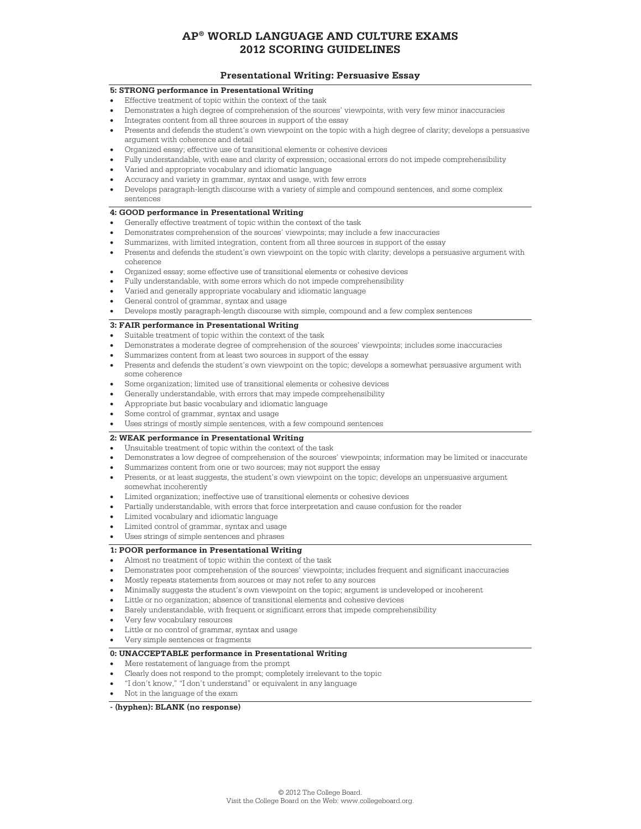# **Presentational Writing: Persuasive Essay**<br>5: STRONG performance in Presentational Writing

- Effective treatment of topic within the context of the task
- Demonstrates a high degree of comprehension of the sources' viewpoints, with very few minor inaccuracies
- Integrates content from all three sources in support of the essay
- Presents and defends the student's own viewpoint on the topic with a high degree of clarity; develops a persuasive argument with coherence and detail
- Organized essay; effective use of transitional elements or cohesive devices
- Fully understandable, with ease and clarity of expression; occasional errors do not impede comprehensibility
- Varied and appropriate vocabulary and idiomatic language
- Accuracy and variety in grammar, syntax and usage, with few errors
- Develops paragraph-length discourse with a variety of simple and compound sentences, and some complex sentences

- Generally effective treatment of topic within the context of the task
- Demonstrates comprehension of the sources' viewpoints; may include a few inaccuracies
- Summarizes, with limited integration, content from all three sources in support of the essay
- Presents and defends the student's own viewpoint on the topic with clarity; develops a persuasive argument with coherence
- Organized essay; some effective use of transitional elements or cohesive devices
- Fully understandable, with some errors which do not impede comprehensibility
- Varied and generally appropriate vocabulary and idiomatic language
- General control of grammar, syntax and usage
- Develops mostly paragraph-length discourse with simple, compound and a few complex sentences

- Suitable treatment of topic within the context of the task
- Demonstrates a moderate degree of comprehension of the sources' viewpoints; includes some inaccuracies
- Summarizes content from at least two sources in support of the essay
- Presents and defends the student's own viewpoint on the topic; develops a somewhat persuasive argument with some coherence
- Some organization; limited use of transitional elements or cohesive devices
- Generally understandable, with errors that may impede comprehensibility
- Appropriate but basic vocabulary and idiomatic language
- Some control of grammar, syntax and usage
- Uses strings of mostly simple sentences, with a few compound sentences

- Unsuitable treatment of topic within the context of the task
- Demonstrates a low degree of comprehension of the sources' viewpoints; information may be limited or inaccurate
- Summarizes content from one or two sources; may not support the essay
- Presents, or at least suggests, the student's own viewpoint on the topic; develops an unpersuasive argument
- somewhat incoherently Limited organization; ineffective use of transitional elements or cohesive devices
- Partially understandable, with errors that force interpretation and cause confusion for the reader
- Limited vocabulary and idiomatic language
- Limited control of grammar, syntax and usage
- Uses strings of simple sentences and phrases

- Almost no treatment of topic within the context of the task
- Demonstrates poor comprehension of the sources' viewpoints; includes frequent and significant inaccuracies
- Mostly repeats statements from sources or may not refer to any sources
- Minimally suggests the student's own viewpoint on the topic; argument is undeveloped or incoherent
- Little or no organization; absence of transitional elements and cohesive devices
- Barely understandable, with frequent or significant errors that impede comprehensibility
- Very few vocabulary resources
- Little or no control of grammar, syntax and usage
- Very simple sentences or fragments

- Mere restatement of language from the prompt
- Clearly does not respond to the prompt; completely irrelevant to the topic
- "I don't know," "I don't understand" or equivalent in any language
- Not in the language of the exam

### **- (hyphen): BLANK (no response)**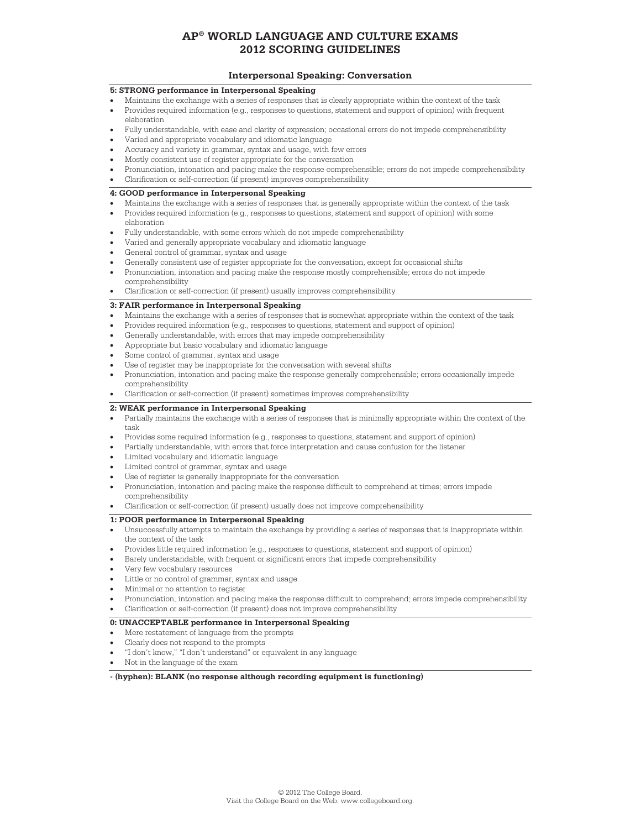### **Interpersonal Speaking: Conversation**

### **5: STRONG performance in Interpersonal Speaking**

- Maintains the exchange with a series of responses that is clearly appropriate within the context of the task
- Provides required information (e.g., responses to questions, statement and support of opinion) with frequent elaboration
- Fully understandable, with ease and clarity of expression; occasional errors do not impede comprehensibility
- Varied and appropriate vocabulary and idiomatic language
- Accuracy and variety in grammar, syntax and usage, with few errors
- Mostly consistent use of register appropriate for the conversation
- Pronunciation, intonation and pacing make the response comprehensible; errors do not impede comprehensibility
- Clarification or self-correction (if present) improves comprehensibility

### **4: GOOD performance in Interpersonal Speaking**

- Maintains the exchange with a series of responses that is generally appropriate within the context of the task
- Provides required information (e.g., responses to questions, statement and support of opinion) with some elaboration
- Fully understandable, with some errors which do not impede comprehensibility
- Varied and generally appropriate vocabulary and idiomatic language
- General control of grammar, syntax and usage
- Generally consistent use of register appropriate for the conversation, except for occasional shifts
- Pronunciation, intonation and pacing make the response mostly comprehensible; errors do not impede
- comprehensibility • Clarification or self-correction (if present) usually improves comprehensibility

### **3: FAIR performance in Interpersonal Speaking**

- Maintains the exchange with a series of responses that is somewhat appropriate within the context of the task
- Provides required information (e.g., responses to questions, statement and support of opinion)
- Generally understandable, with errors that may impede comprehensibility
- Appropriate but basic vocabulary and idiomatic language
- Some control of grammar, syntax and usage
- Use of register may be inappropriate for the conversation with several shifts
- Pronunciation, intonation and pacing make the response generally comprehensible; errors occasionally impede
- comprehensibility
- Clarification or self-correction (if present) sometimes improves comprehensibility

### **2: WEAK performance in Interpersonal Speaking**

- Partially maintains the exchange with a series of responses that is minimally appropriate within the context of the task
- Provides some required information (e.g., responses to questions, statement and support of opinion)
- Partially understandable, with errors that force interpretation and cause confusion for the listener
- Limited vocabulary and idiomatic language
- Limited control of grammar, syntax and usage
- Use of register is generally inappropriate for the conversation
- Pronunciation, intonation and pacing make the response difficult to comprehend at times; errors impede comprehensibility
- Clarification or self-correction (if present) usually does not improve comprehensibility

#### **1: POOR performance in Interpersonal Speaking**

- Unsuccessfully attempts to maintain the exchange by providing a series of responses that is inappropriate within the context of the task
- Provides little required information (e.g., responses to questions, statement and support of opinion)
- Barely understandable, with frequent or significant errors that impede comprehensibility
- Very few vocabulary resources
- Little or no control of grammar, syntax and usage
- Minimal or no attention to register
- Pronunciation, intonation and pacing make the response difficult to comprehend; errors impede comprehensibility
- Clarification or self-correction (if present) does not improve comprehensibility

#### **0: UNACCEPTABLE performance in Interpersonal Speaking**

- Mere restatement of language from the prompts
- Clearly does not respond to the prompts
- "I don't know," "I don't understand" or equivalent in any language
- Not in the language of the exam

**- (hyphen): BLANK (no response although recording equipment is functioning)**